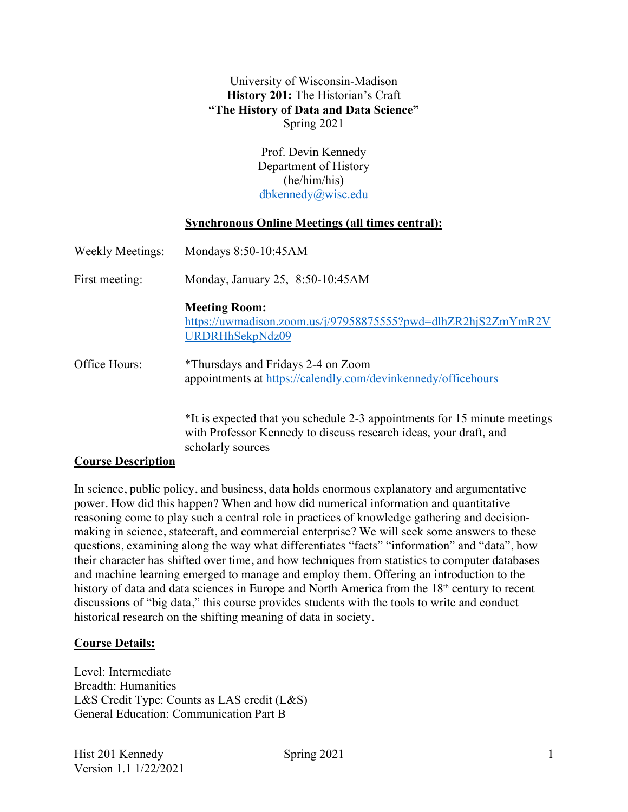### University of Wisconsin-Madison **History 201:** The Historian's Craft **"The History of Data and Data Science"** Spring 2021

Prof. Devin Kennedy Department of History (he/him/his) dbkennedy@wisc.edu

### **Synchronous Online Meetings (all times central):**

| <b>Weekly Meetings:</b> | Mondays 8:50-10:45AM                                                                                                                           |  |  |
|-------------------------|------------------------------------------------------------------------------------------------------------------------------------------------|--|--|
| First meeting:          | Monday, January 25, 8:50-10:45AM                                                                                                               |  |  |
|                         | <b>Meeting Room:</b><br>https://uwmadison.zoom.us/j/97958875555?pwd=dlhZR2hjS2ZmYmR2V<br>URDRHhSekpNdz09                                       |  |  |
| Office Hours:           | *Thursdays and Fridays 2-4 on Zoom<br>appointments at https://calendly.com/devinkennedy/officehours                                            |  |  |
|                         | *It is expected that you schedule 2-3 appointments for 15 minute meetings<br>with Professor Kennedy to discuss research ideas, your draft, and |  |  |

#### **Course Description**

In science, public policy, and business, data holds enormous explanatory and argumentative power. How did this happen? When and how did numerical information and quantitative reasoning come to play such a central role in practices of knowledge gathering and decisionmaking in science, statecraft, and commercial enterprise? We will seek some answers to these questions, examining along the way what differentiates "facts" "information" and "data", how their character has shifted over time, and how techniques from statistics to computer databases and machine learning emerged to manage and employ them. Offering an introduction to the history of data and data sciences in Europe and North America from the 18<sup>th</sup> century to recent discussions of "big data," this course provides students with the tools to write and conduct historical research on the shifting meaning of data in society.

#### **Course Details:**

Level: Intermediate Breadth: Humanities L&S Credit Type: Counts as LAS credit (L&S) General Education: Communication Part B

scholarly sources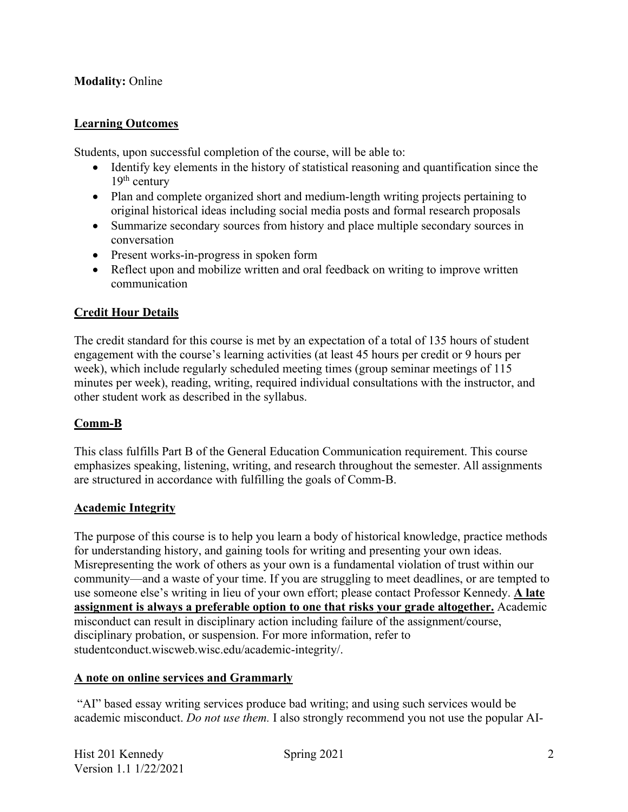# **Modality:** Online

# **Learning Outcomes**

Students, upon successful completion of the course, will be able to:

- Identify key elements in the history of statistical reasoning and quantification since the  $19<sup>th</sup>$  century
- Plan and complete organized short and medium-length writing projects pertaining to original historical ideas including social media posts and formal research proposals
- Summarize secondary sources from history and place multiple secondary sources in conversation
- Present works-in-progress in spoken form
- Reflect upon and mobilize written and oral feedback on writing to improve written communication

# **Credit Hour Details**

The credit standard for this course is met by an expectation of a total of 135 hours of student engagement with the course's learning activities (at least 45 hours per credit or 9 hours per week), which include regularly scheduled meeting times (group seminar meetings of 115 minutes per week), reading, writing, required individual consultations with the instructor, and other student work as described in the syllabus.

# **Comm-B**

This class fulfills Part B of the General Education Communication requirement. This course emphasizes speaking, listening, writing, and research throughout the semester. All assignments are structured in accordance with fulfilling the goals of Comm-B.

# **Academic Integrity**

The purpose of this course is to help you learn a body of historical knowledge, practice methods for understanding history, and gaining tools for writing and presenting your own ideas. Misrepresenting the work of others as your own is a fundamental violation of trust within our community—and a waste of your time. If you are struggling to meet deadlines, or are tempted to use someone else's writing in lieu of your own effort; please contact Professor Kennedy. **A late assignment is always a preferable option to one that risks your grade altogether.** Academic misconduct can result in disciplinary action including failure of the assignment/course, disciplinary probation, or suspension. For more information, refer to studentconduct.wiscweb.wisc.edu/academic-integrity/.

# **A note on online services and Grammarly**

"AI" based essay writing services produce bad writing; and using such services would be academic misconduct. *Do not use them.* I also strongly recommend you not use the popular AI-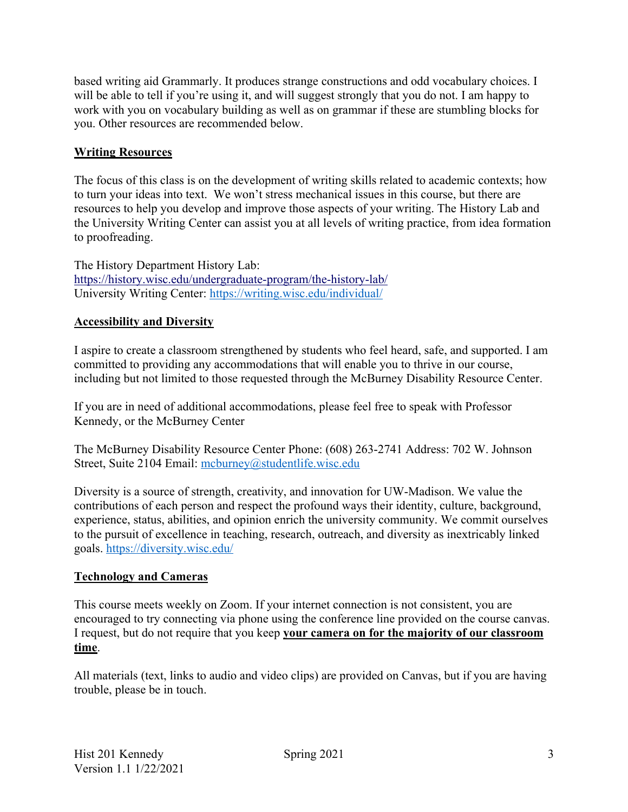based writing aid Grammarly. It produces strange constructions and odd vocabulary choices. I will be able to tell if you're using it, and will suggest strongly that you do not. I am happy to work with you on vocabulary building as well as on grammar if these are stumbling blocks for you. Other resources are recommended below.

# **Writing Resources**

The focus of this class is on the development of writing skills related to academic contexts; how to turn your ideas into text. We won't stress mechanical issues in this course, but there are resources to help you develop and improve those aspects of your writing. The History Lab and the University Writing Center can assist you at all levels of writing practice, from idea formation to proofreading.

The History Department History Lab: https://history.wisc.edu/undergraduate-program/the-history-lab/ University Writing Center: https://writing.wisc.edu/individual/

# **Accessibility and Diversity**

I aspire to create a classroom strengthened by students who feel heard, safe, and supported. I am committed to providing any accommodations that will enable you to thrive in our course, including but not limited to those requested through the McBurney Disability Resource Center.

If you are in need of additional accommodations, please feel free to speak with Professor Kennedy, or the McBurney Center

The McBurney Disability Resource Center Phone: (608) 263-2741 Address: 702 W. Johnson Street, Suite 2104 Email: mcburney@studentlife.wisc.edu

Diversity is a source of strength, creativity, and innovation for UW-Madison. We value the contributions of each person and respect the profound ways their identity, culture, background, experience, status, abilities, and opinion enrich the university community. We commit ourselves to the pursuit of excellence in teaching, research, outreach, and diversity as inextricably linked goals. https://diversity.wisc.edu/

# **Technology and Cameras**

This course meets weekly on Zoom. If your internet connection is not consistent, you are encouraged to try connecting via phone using the conference line provided on the course canvas. I request, but do not require that you keep **your camera on for the majority of our classroom time**.

All materials (text, links to audio and video clips) are provided on Canvas, but if you are having trouble, please be in touch.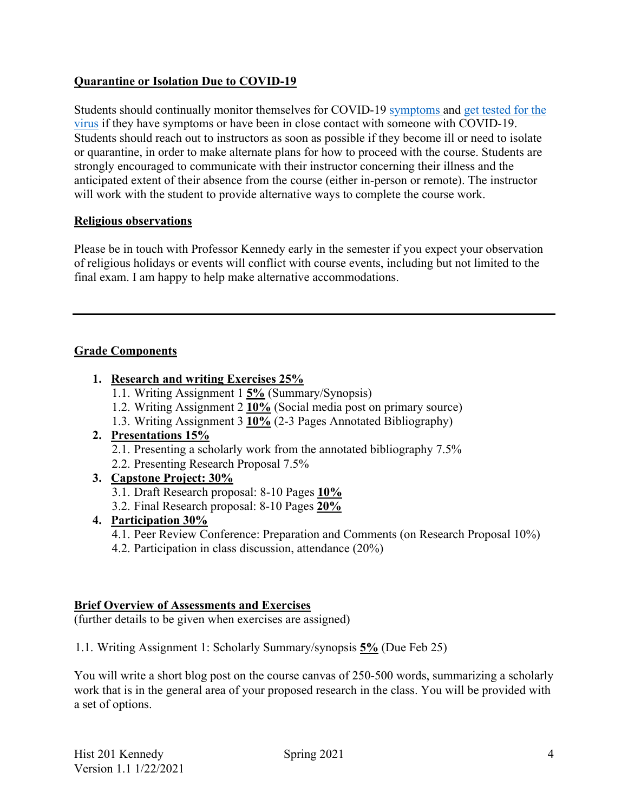# **Quarantine or Isolation Due to COVID-19**

Students should continually monitor themselves for COVID-19 symptoms and get tested for the virus if they have symptoms or have been in close contact with someone with COVID-19. Students should reach out to instructors as soon as possible if they become ill or need to isolate or quarantine, in order to make alternate plans for how to proceed with the course. Students are strongly encouraged to communicate with their instructor concerning their illness and the anticipated extent of their absence from the course (either in-person or remote). The instructor will work with the student to provide alternative ways to complete the course work.

# **Religious observations**

Please be in touch with Professor Kennedy early in the semester if you expect your observation of religious holidays or events will conflict with course events, including but not limited to the final exam. I am happy to help make alternative accommodations.

# **Grade Components**

- **1. Research and writing Exercises 25%**
	- 1.1. Writing Assignment 1 **5%** (Summary/Synopsis)
	- 1.2. Writing Assignment 2 **10%** (Social media post on primary source)
	- 1.3. Writing Assignment 3 **10%** (2-3 Pages Annotated Bibliography)

# **2. Presentations 15%**

- 2.1. Presenting a scholarly work from the annotated bibliography 7.5%
- 2.2. Presenting Research Proposal 7.5%

# **3. Capstone Project: 30%**

- 3.1. Draft Research proposal: 8-10 Pages **10%**
- 3.2. Final Research proposal: 8-10 Pages **20%**

# **4. Participation 30%**

4.1. Peer Review Conference: Preparation and Comments (on Research Proposal 10%)

4.2. Participation in class discussion, attendance (20%)

# **Brief Overview of Assessments and Exercises**

(further details to be given when exercises are assigned)

1.1. Writing Assignment 1: Scholarly Summary/synopsis **5%** (Due Feb 25)

You will write a short blog post on the course canvas of 250-500 words, summarizing a scholarly work that is in the general area of your proposed research in the class. You will be provided with a set of options.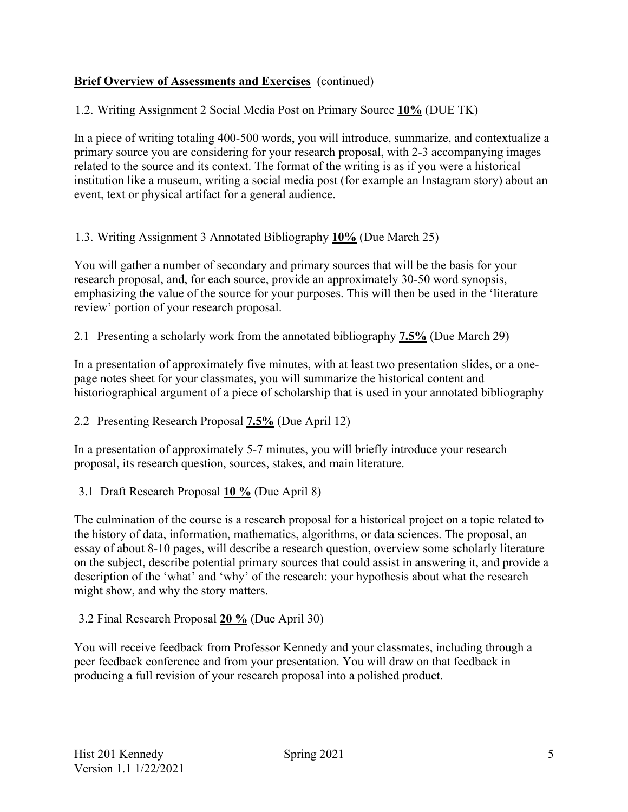# **Brief Overview of Assessments and Exercises** (continued)

1.2. Writing Assignment 2 Social Media Post on Primary Source **10%** (DUE TK)

In a piece of writing totaling 400-500 words, you will introduce, summarize, and contextualize a primary source you are considering for your research proposal, with 2-3 accompanying images related to the source and its context. The format of the writing is as if you were a historical institution like a museum, writing a social media post (for example an Instagram story) about an event, text or physical artifact for a general audience.

# 1.3. Writing Assignment 3 Annotated Bibliography **10%** (Due March 25)

You will gather a number of secondary and primary sources that will be the basis for your research proposal, and, for each source, provide an approximately 30-50 word synopsis, emphasizing the value of the source for your purposes. This will then be used in the 'literature review' portion of your research proposal.

2.1 Presenting a scholarly work from the annotated bibliography **7.5%** (Due March 29)

In a presentation of approximately five minutes, with at least two presentation slides, or a onepage notes sheet for your classmates, you will summarize the historical content and historiographical argument of a piece of scholarship that is used in your annotated bibliography

# 2.2 Presenting Research Proposal **7.5%** (Due April 12)

In a presentation of approximately 5-7 minutes, you will briefly introduce your research proposal, its research question, sources, stakes, and main literature.

# 3.1 Draft Research Proposal **10 %** (Due April 8)

The culmination of the course is a research proposal for a historical project on a topic related to the history of data, information, mathematics, algorithms, or data sciences. The proposal, an essay of about 8-10 pages, will describe a research question, overview some scholarly literature on the subject, describe potential primary sources that could assist in answering it, and provide a description of the 'what' and 'why' of the research: your hypothesis about what the research might show, and why the story matters.

3.2 Final Research Proposal **20 %** (Due April 30)

You will receive feedback from Professor Kennedy and your classmates, including through a peer feedback conference and from your presentation. You will draw on that feedback in producing a full revision of your research proposal into a polished product.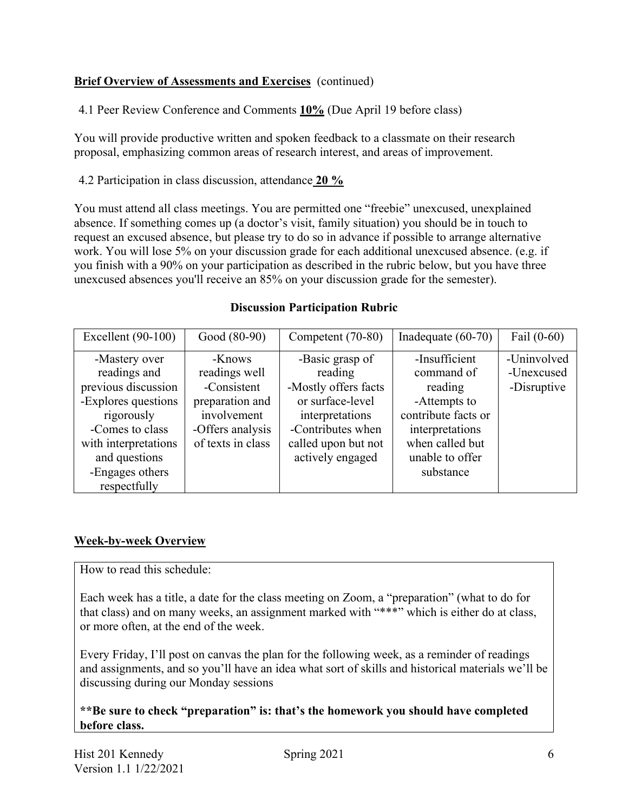# **Brief Overview of Assessments and Exercises** (continued)

4.1 Peer Review Conference and Comments **10%** (Due April 19 before class)

You will provide productive written and spoken feedback to a classmate on their research proposal, emphasizing common areas of research interest, and areas of improvement.

4.2 Participation in class discussion, attendance **20 %**

You must attend all class meetings. You are permitted one "freebie" unexcused, unexplained absence. If something comes up (a doctor's visit, family situation) you should be in touch to request an excused absence, but please try to do so in advance if possible to arrange alternative work. You will lose 5% on your discussion grade for each additional unexcused absence. (e.g. if you finish with a 90% on your participation as described in the rubric below, but you have three unexcused absences you'll receive an 85% on your discussion grade for the semester).

# **Discussion Participation Rubric**

| Excellent $(90-100)$ | Good (80-90)      | Competent (70-80)    | Inadequate $(60-70)$ | Fail $(0-60)$ |
|----------------------|-------------------|----------------------|----------------------|---------------|
| -Mastery over        | -Knows            | -Basic grasp of      | -Insufficient        | -Uninvolved   |
| readings and         | readings well     | reading              | command of           | -Unexcused    |
| previous discussion  | -Consistent       | -Mostly offers facts | reading              | -Disruptive   |
| -Explores questions  | preparation and   | or surface-level     | -Attempts to         |               |
| rigorously           | involvement       | interpretations      | contribute facts or  |               |
| -Comes to class      | -Offers analysis  | -Contributes when    | interpretations      |               |
| with interpretations | of texts in class | called upon but not  | when called but      |               |
| and questions        |                   | actively engaged     | unable to offer      |               |
| -Engages others      |                   |                      | substance            |               |
| respectfully         |                   |                      |                      |               |

# **Week-by-week Overview**

How to read this schedule:

Each week has a title, a date for the class meeting on Zoom, a "preparation" (what to do for that class) and on many weeks, an assignment marked with "\*\*\*" which is either do at class, or more often, at the end of the week.

Every Friday, I'll post on canvas the plan for the following week, as a reminder of readings and assignments, and so you'll have an idea what sort of skills and historical materials we'll be discussing during our Monday sessions

**\*\*Be sure to check "preparation" is: that's the homework you should have completed before class.**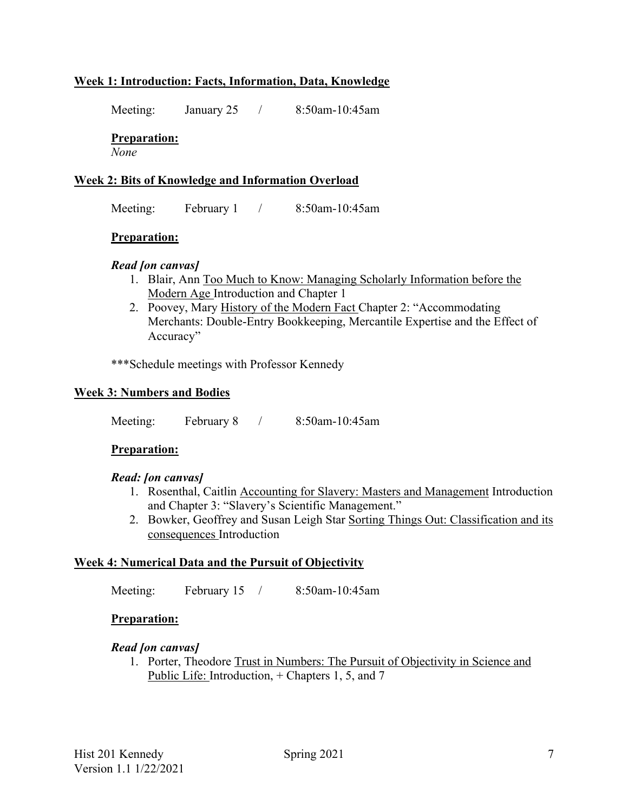# **Week 1: Introduction: Facts, Information, Data, Knowledge**

Meeting: January 25 / 8:50am-10:45am

### **Preparation:**

*None*

### **Week 2: Bits of Knowledge and Information Overload**

Meeting: February 1 / 8:50am-10:45am

#### **Preparation:**

### *Read [on canvas]*

- 1. Blair, Ann Too Much to Know: Managing Scholarly Information before the Modern Age Introduction and Chapter 1
- 2. Poovey, Mary History of the Modern Fact Chapter 2: "Accommodating Merchants: Double-Entry Bookkeeping, Mercantile Expertise and the Effect of Accuracy"

\*\*\*Schedule meetings with Professor Kennedy

### **Week 3: Numbers and Bodies**

Meeting: February 8 / 8:50am-10:45am

#### **Preparation:**

#### *Read: [on canvas]*

- 1. Rosenthal, Caitlin Accounting for Slavery: Masters and Management Introduction and Chapter 3: "Slavery's Scientific Management."
- 2. Bowker, Geoffrey and Susan Leigh Star Sorting Things Out: Classification and its consequences Introduction

#### **Week 4: Numerical Data and the Pursuit of Objectivity**

Meeting: February 15 / 8:50am-10:45am

#### **Preparation:**

#### *Read [on canvas]*

1. Porter, Theodore Trust in Numbers: The Pursuit of Objectivity in Science and Public Life: Introduction, + Chapters 1, 5, and 7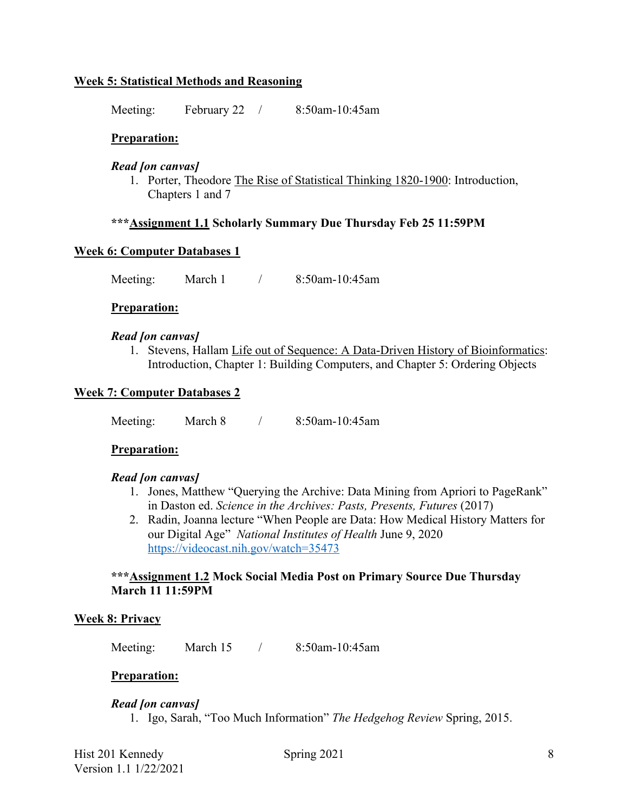### **Week 5: Statistical Methods and Reasoning**

Meeting: February 22 / 8:50am-10:45am

### **Preparation:**

#### *Read [on canvas]*

1. Porter, Theodore The Rise of Statistical Thinking 1820-1900: Introduction, Chapters 1 and 7

### **\*\*\*Assignment 1.1 Scholarly Summary Due Thursday Feb 25 11:59PM**

#### **Week 6: Computer Databases 1**

Meeting: March 1 / 8:50am-10:45am

#### **Preparation:**

#### *Read [on canvas]*

1. Stevens, Hallam Life out of Sequence: A Data-Driven History of Bioinformatics: Introduction, Chapter 1: Building Computers, and Chapter 5: Ordering Objects

#### **Week 7: Computer Databases 2**

Meeting: March 8 / 8:50am-10:45am

#### **Preparation:**

#### *Read [on canvas]*

- 1. Jones, Matthew "Querying the Archive: Data Mining from Apriori to PageRank" in Daston ed. *Science in the Archives: Pasts, Presents, Futures* (2017)
- 2. Radin, Joanna lecture "When People are Data: How Medical History Matters for our Digital Age" *National Institutes of Health* June 9, 2020 https://videocast.nih.gov/watch=35473

#### **\*\*\*Assignment 1.2 Mock Social Media Post on Primary Source Due Thursday March 11 11:59PM**

#### **Week 8: Privacy**

Meeting: March 15 / 8:50am-10:45am

#### **Preparation:**

#### *Read [on canvas]*

1. Igo, Sarah, "Too Much Information" *The Hedgehog Review* Spring, 2015.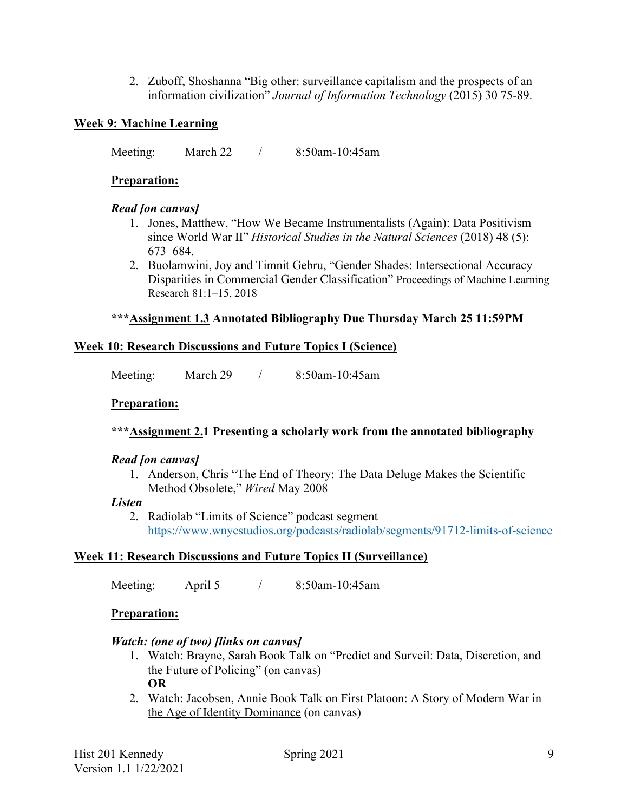2. Zuboff, Shoshanna "Big other: surveillance capitalism and the prospects of an information civilization" *Journal of Information Technology* (2015) 30 75-89.

# **Week 9: Machine Learning**

Meeting: March 22 / 8:50am-10:45am

# **Preparation:**

### *Read [on canvas]*

- 1. Jones, Matthew, "How We Became Instrumentalists (Again): Data Positivism since World War II" *Historical Studies in the Natural Sciences* (2018) 48 (5): 673–684.
- 2. Buolamwini, Joy and Timnit Gebru, "Gender Shades: Intersectional Accuracy Disparities in Commercial Gender Classification" Proceedings of Machine Learning Research 81:1–15, 2018

# **\*\*\*Assignment 1.3 Annotated Bibliography Due Thursday March 25 11:59PM**

# **Week 10: Research Discussions and Future Topics I (Science)**

Meeting: March 29 / 8:50am-10:45am

# **Preparation:**

# **\*\*\*Assignment 2.1 Presenting a scholarly work from the annotated bibliography**

# *Read [on canvas]*

1. Anderson, Chris "The End of Theory: The Data Deluge Makes the Scientific Method Obsolete," *Wired* May 2008

#### *Listen*

2. Radiolab "Limits of Science" podcast segment https://www.wnycstudios.org/podcasts/radiolab/segments/91712-limits-of-science

# **Week 11: Research Discussions and Future Topics II (Surveillance)**

Meeting: April 5 / 8:50am-10:45am

# **Preparation:**

# *Watch: (one of two) [links on canvas]*

- 1. Watch: Brayne, Sarah Book Talk on "Predict and Surveil: Data, Discretion, and the Future of Policing" (on canvas) **OR**
- 2. Watch: Jacobsen, Annie Book Talk on First Platoon: A Story of Modern War in the Age of Identity Dominance (on canvas)